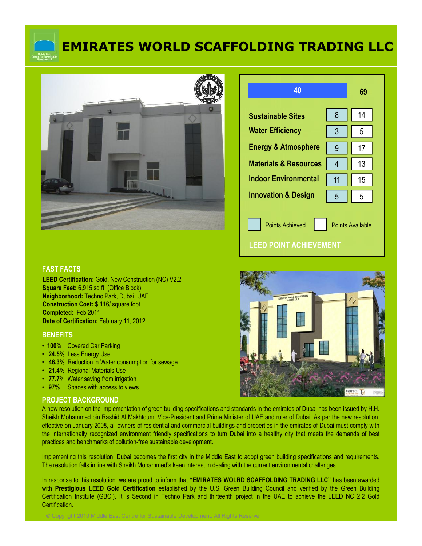

# **EMIRATES WORLD SCAFFOLDING TRADING LLC**



| 40                                                                         |                | 69 |  |
|----------------------------------------------------------------------------|----------------|----|--|
| <b>Sustainable Sites</b>                                                   | 8              | 14 |  |
| <b>Water Efficiency</b>                                                    | 3              | 5  |  |
| <b>Energy &amp; Atmosphere</b>                                             | 9              | 17 |  |
| <b>Materials &amp; Resources</b>                                           | $\overline{4}$ | 13 |  |
| <b>Indoor Environmental</b>                                                | 11             | 15 |  |
| <b>Innovation &amp; Design</b>                                             | 5              | 5  |  |
| <b>Points Achieved</b><br><b>Points Available</b><br>EED POINT ACHIEVEMENT |                |    |  |

#### **FAST FACTS**

**LEED Certification:** Gold, New Construction (NC) V2.2 **Square Feet:** 6,915 sq ft (Office Block) **Neighborhood:** Techno Park, Dubai, UAE **Construction Cost:** \$ 116/ square foot **Completed:** Feb 2011 **Date of Certification:** February 11, 2012

#### **BENEFITS**

- **100%** Covered Car Parking
- **24.5%** Less Energy Use
- **46.3%** Reduction in Water consumption for sewage
- **21.4%** Regional Materials Use
- **77.7**% Water saving from irrigation
- **97**% Spaces with access to views

#### **PROJECT BACKGROUND**

A new resolution on the implementation of green building specifications and standards in the emirates of Dubai has been issued by H.H. Sheikh Mohammed bin Rashid Al Makhtoum, Vice-President and Prime Minister of UAE and ruler of Dubai. As per the new resolution, effective on January 2008, all owners of residential and commercial buildings and properties in the emirates of Dubai must comply with the internationally recognized environment friendly specifications to turn Dubai into a healthy city that meets the demands of best practices and benchmarks of pollution-free sustainable development.

Implementing this resolution, Dubai becomes the first city in the Middle East to adopt green building specifications and requirements. The resolution falls in line with Sheikh Mohammed's keen interest in dealing with the current environmental challenges.

In response to this resolution, we are proud to inform that **"EMIRATES WOLRD SCAFFOLDING TRADING LLC"** has been awarded with **Prestigious LEED Gold Certification** established by the U.S. Green Building Council and verified by the Green Building Certification Institute (GBCI). It is Second in Techno Park and thirteenth project in the UAE to achieve the LEED NC 2.2 Gold Certification.

© Copyright 2010 Middle East Centre for Sustainable Development. All Rights Reserve